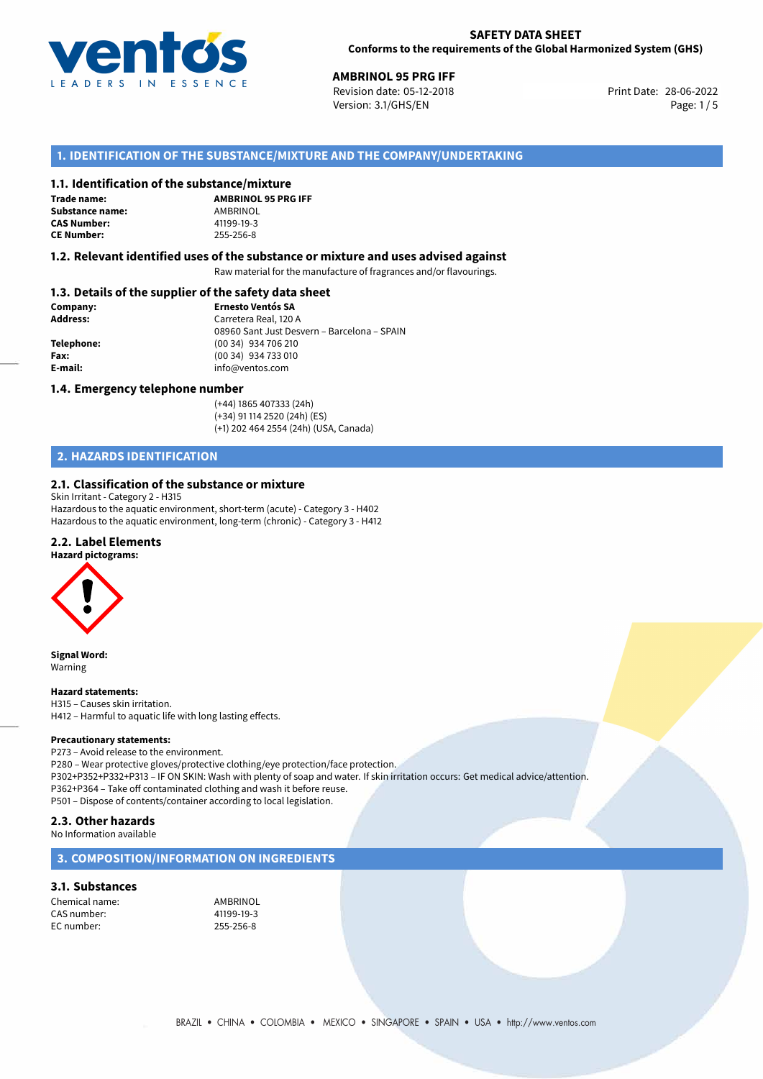

**AMBRINOL 95 PRG IFF**<br> **28-06-2022** Revision date: 05-12-2018 **Print Date: 28-06-2022** Version: 3.1/GHS/EN Page: 1 / 5

## **1. IDENTIFICATION OF THE SUBSTANCE/MIXTURE AND THE COMPANY/UNDERTAKING**

## **1.1. Identification of the substance/mixture**

**Trade name: Substance name:** AMBRINOL<br> **CAS Number:** 41199-19-3 **CAS Number: CE Number:** 255-256-8

**AMBRINOL 95 PRG IFF**

## **1.2. Relevant identified uses of the substance or mixture and uses advised against**

Raw material for the manufacture of fragrances and/or flavourings.

## **1.3. Details of the supplier of the safety data sheet**

| Company:        | <b>Ernesto Ventós SA</b>                    |
|-----------------|---------------------------------------------|
| <b>Address:</b> | Carretera Real, 120 A                       |
|                 | 08960 Sant Just Desvern - Barcelona - SPAIN |
| Telephone:      | (00 34) 934 706 210                         |
| Fax:            | (00 34) 934 733 010                         |
| E-mail:         | info@ventos.com                             |
|                 |                                             |

## **1.4. Emergency telephone number**

(+44) 1865 407333 (24h) (+34) 91 114 2520 (24h) (ES) (+1) 202 464 2554 (24h) (USA, Canada)

## **2. HAZARDS IDENTIFICATION**

## **2.1. Classification of the substance or mixture**

Skin Irritant - Category 2 - H315 Hazardous to the aquatic environment, short-term (acute) - Category 3 - H402 Hazardous to the aquatic environment, long-term (chronic) - Category 3 - H412

## **2.2. Label Elements**

**Hazard pictograms:**

**Signal Word:** Warning

**Hazard statements:**

H315 – Causes skin irritation. H412 – Harmful to aquatic life with long lasting effects.

## **Precautionary statements:**

P273 – Avoid release to the environment. P280 – Wear protective gloves/protective clothing/eye protection/face protection. P302+P352+P332+P313 – IF ON SKIN: Wash with plenty of soap and water. If skin irritation occurs: Get medical advice/attention. P362+P364 – Take off contaminated clothing and wash it before reuse. P501 – Dispose of contents/container according to local legislation.

## **2.3. Other hazards**

No Information available

## **3. COMPOSITION/INFORMATION ON INGREDIENTS**

## **3.1. Substances**

Chemical name: AMBRINOL CAS number: 41199-19-3 EC number: 255-256-8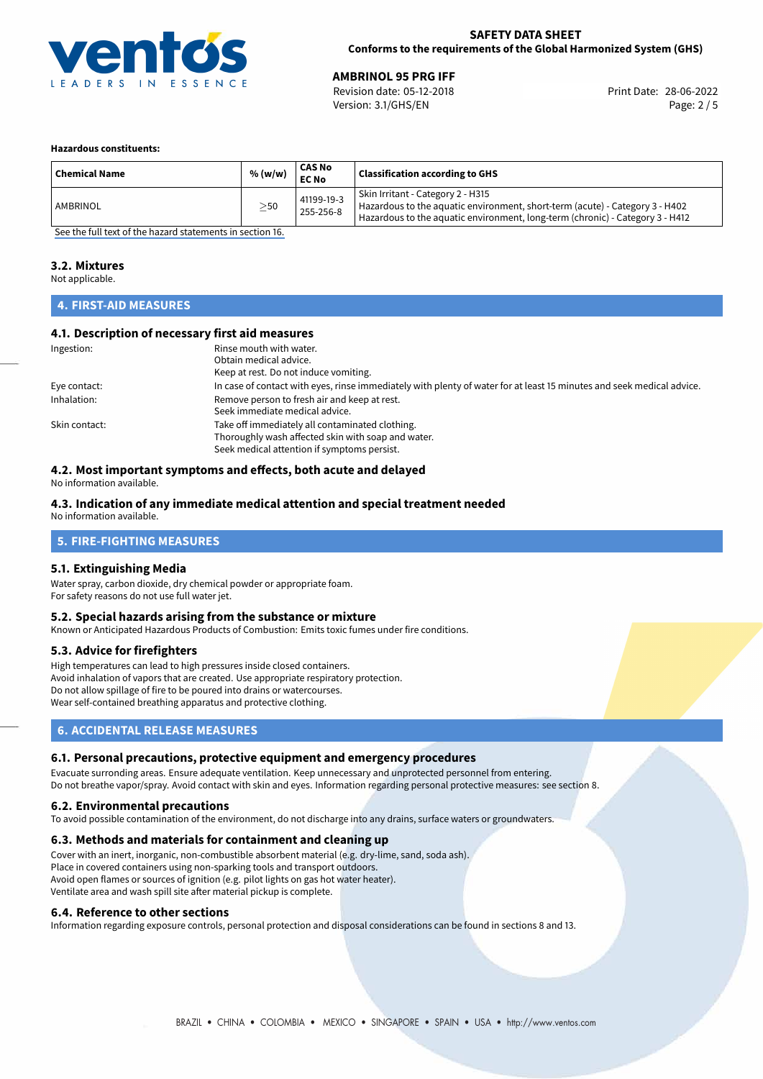

# **AMBRINOL 95 PRG IFF**<br>
Revision date: 05-12-2018<br> **Print Date: 28-06-2022**

Revision date: 05-12-2018 Version: 3.1/GHS/EN Page: 2 / 5

## **Hazardous constituents:**

| <b>Chemical Name</b> | % (w/w)   | <b>CAS No</b><br><b>EC No</b> | <b>Classification according to GHS</b>                                                                                                                                                             |
|----------------------|-----------|-------------------------------|----------------------------------------------------------------------------------------------------------------------------------------------------------------------------------------------------|
| AMBRINOL             | $\geq$ 50 | 41199-19-3<br>255-256-8       | Skin Irritant - Category 2 - H315<br>Hazardous to the aquatic environment, short-term (acute) - Category 3 - H402<br>Hazardous to the aquatic environment, long-term (chronic) - Category 3 - H412 |

[See the full text of the hazard statements in section 16.](#page-4-0)

## **3.2. Mixtures**

Not applicable.

## **4. FIRST-AID MEASURES**

## **4.1. Description of necessary first aid measures**

| Ingestion:    | Rinse mouth with water.                                                                                               |
|---------------|-----------------------------------------------------------------------------------------------------------------------|
|               | Obtain medical advice.                                                                                                |
|               | Keep at rest. Do not induce vomiting.                                                                                 |
| Eye contact:  | In case of contact with eyes, rinse immediately with plenty of water for at least 15 minutes and seek medical advice. |
| Inhalation:   | Remove person to fresh air and keep at rest.                                                                          |
|               | Seek immediate medical advice.                                                                                        |
| Skin contact: | Take off immediately all contaminated clothing.                                                                       |
|               | Thoroughly wash affected skin with soap and water.                                                                    |
|               | Seek medical attention if symptoms persist.                                                                           |

## **4.2. Most important symptoms and effects, both acute and delayed**

No information available.

## **4.3. Indication of any immediate medical attention and special treatment needed**

No information available.

## **5. FIRE-FIGHTING MEASURES**

## **5.1. Extinguishing Media**

Water spray, carbon dioxide, dry chemical powder or appropriate foam. For safety reasons do not use full water jet.

## **5.2. Special hazards arising from the substance or mixture**

Known or Anticipated Hazardous Products of Combustion: Emits toxic fumes under fire conditions.

## **5.3. Advice for firefighters**

High temperatures can lead to high pressures inside closed containers. Avoid inhalation of vapors that are created. Use appropriate respiratory protection. Do not allow spillage of fire to be poured into drains or watercourses. Wear self-contained breathing apparatus and protective clothing.

## **6. ACCIDENTAL RELEASE MEASURES**

## **6.1. Personal precautions, protective equipment and emergency procedures**

Evacuate surronding areas. Ensure adequate ventilation. Keep unnecessary and unprotected personnel from entering. Do not breathe vapor/spray. Avoid contact with skin and eyes. Information regarding personal protective measures: see section 8.

## **6.2. Environmental precautions**

To avoid possible contamination of the environment, do not discharge into any drains, surface waters or groundwaters.

## **6.3. Methods and materials for containment and cleaning up**

Cover with an inert, inorganic, non-combustible absorbent material (e.g. dry-lime, sand, soda ash). Place in covered containers using non-sparking tools and transport outdoors. Avoid open flames or sources of ignition (e.g. pilot lights on gas hot water heater). Ventilate area and wash spill site after material pickup is complete.

## **6.4. Reference to other sections**

Information regarding exposure controls, personal protection and disposal considerations can be found in sections 8 and 13.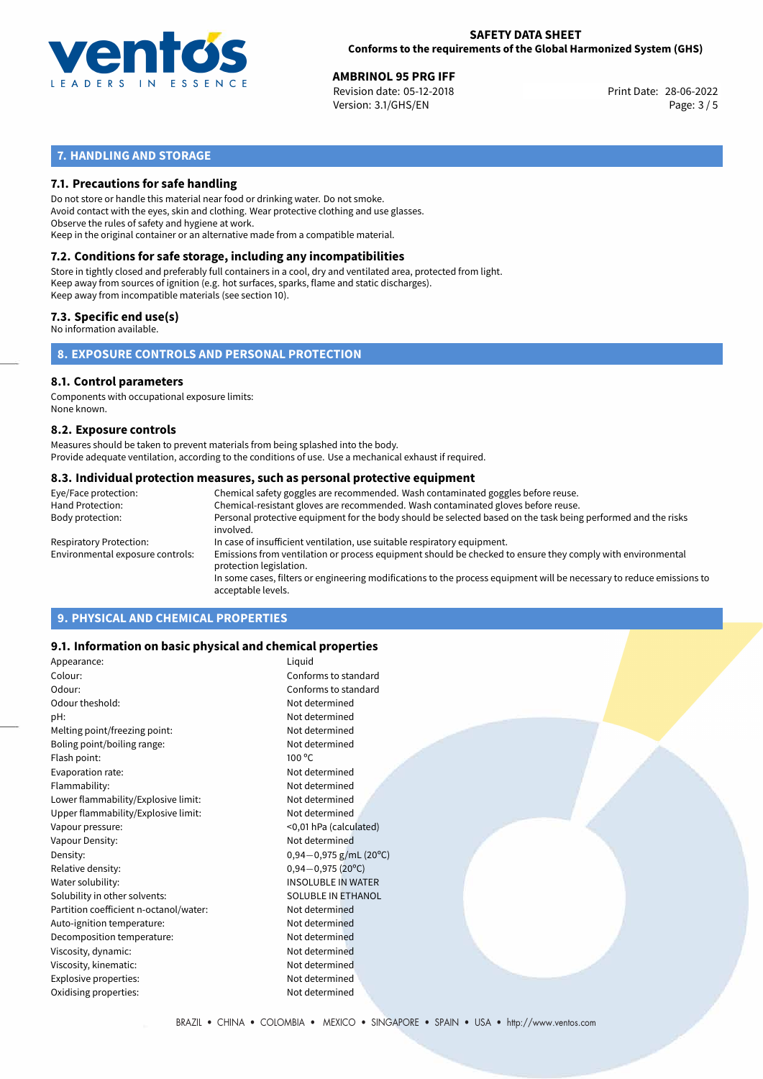

**AMBRINOL 95 PRG IFF**<br>
Revision date: 05-12-2018 **Print Date: 28-06-2022** Version: 3.1/GHS/EN Page: 3 / 5

## **7. HANDLING AND STORAGE**

## **7.1. Precautions for safe handling**

Do not store or handle this material near food or drinking water. Do not smoke. Avoid contact with the eyes, skin and clothing. Wear protective clothing and use glasses. Observe the rules of safety and hygiene at work. Keep in the original container or an alternative made from a compatible material.

## **7.2. Conditions for safe storage, including any incompatibilities**

Store in tightly closed and preferably full containers in a cool, dry and ventilated area, protected from light. Keep away from sources of ignition (e.g. hot surfaces, sparks, flame and static discharges). Keep away from incompatible materials (see section 10).

## **7.3. Specific end use(s)**

No information available.

**8. EXPOSURE CONTROLS AND PERSONAL PROTECTION**

## **8.1. Control parameters**

Components with occupational exposure limits: None known.

## **8.2. Exposure controls**

Measures should be taken to prevent materials from being splashed into the body. Provide adequate ventilation, according to the conditions of use. Use a mechanical exhaust if required.

## **8.3. Individual protection measures, such as personal protective equipment**

| Eye/Face protection:             | Chemical safety goggles are recommended. Wash contaminated goggles before reuse.                                                            |
|----------------------------------|---------------------------------------------------------------------------------------------------------------------------------------------|
| Hand Protection:                 | Chemical-resistant gloves are recommended. Wash contaminated gloves before reuse.                                                           |
| Body protection:                 | Personal protective equipment for the body should be selected based on the task being performed and the risks<br>involved.                  |
| Respiratory Protection:          | In case of insufficient ventilation, use suitable respiratory equipment.                                                                    |
| Environmental exposure controls: | Emissions from ventilation or process equipment should be checked to ensure they comply with environmental<br>protection legislation.       |
|                                  | In some cases, filters or engineering modifications to the process equipment will be necessary to reduce emissions to<br>acceptable levels. |
|                                  |                                                                                                                                             |

## **9. PHYSICAL AND CHEMICAL PROPERTIES**

## **9.1. Information on basic physical and chemical properties**

| Appearance:                            | Liguid                      |  |
|----------------------------------------|-----------------------------|--|
| Colour:                                | Conforms to standard        |  |
| Odour:                                 | Conforms to standard        |  |
| Odour theshold:                        | Not determined              |  |
| pH:                                    | Not determined              |  |
| Melting point/freezing point:          | Not determined              |  |
| Boling point/boiling range:            | Not determined              |  |
| Flash point:                           | $100^{\circ}$ C             |  |
| Evaporation rate:                      | Not determined              |  |
| Flammability:                          | Not determined              |  |
| Lower flammability/Explosive limit:    | Not determined              |  |
| Upper flammability/Explosive limit:    | Not determined              |  |
| Vapour pressure:                       | <0,01 hPa (calculated)      |  |
| Vapour Density:                        | Not determined              |  |
| Density:                               | $0,94-0,975$ g/mL (20°C)    |  |
| Relative density:                      | $0,94 - 0,975(20^{\circ}C)$ |  |
| Water solubility:                      | <b>INSOLUBLE IN WATER</b>   |  |
| Solubility in other solvents:          | <b>SOLUBLE IN ETHANOL</b>   |  |
| Partition coefficient n-octanol/water: | Not determined              |  |
| Auto-ignition temperature:             | Not determined              |  |
| Decomposition temperature:             | Not determined              |  |
| Viscosity, dynamic:                    | Not determined              |  |
| Viscosity, kinematic:                  | Not determined              |  |
| Explosive properties:                  | Not determined              |  |
| Oxidising properties:                  | Not determined              |  |
|                                        |                             |  |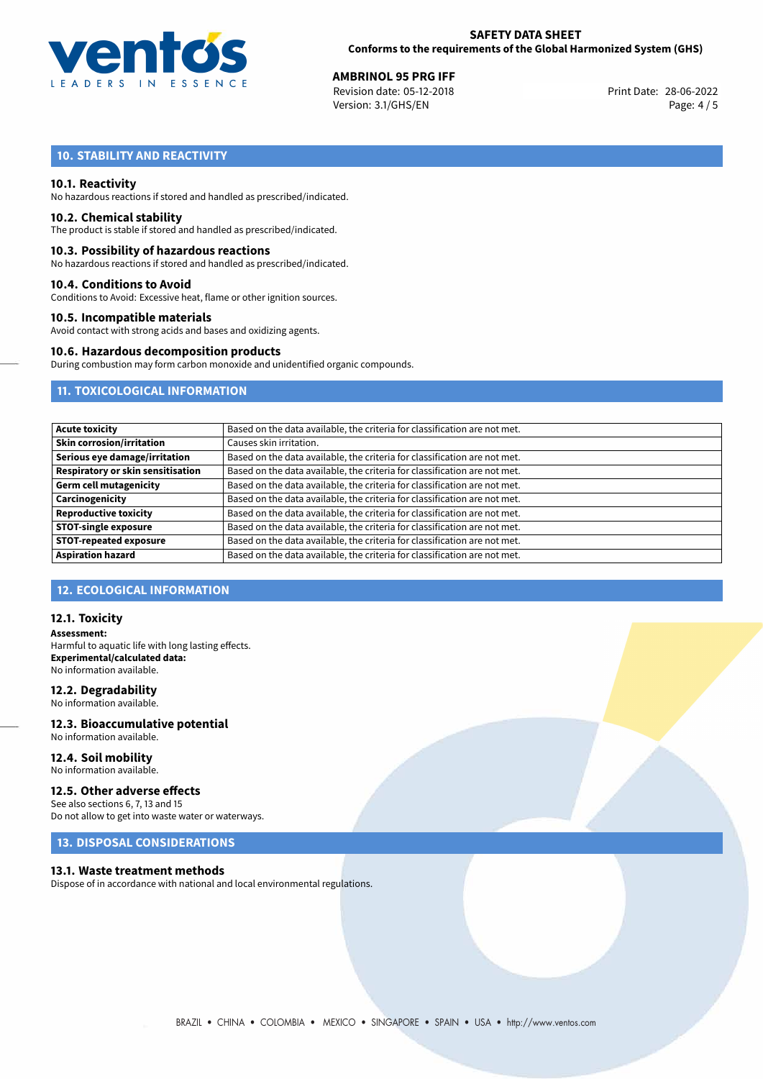

**AMBRINOL 95 PRG IFF**<br>
Revision date: 05-12-2018<br> **Print Date: 28-06-2022** Revision date: 05-12-2018 Version: 3.1/GHS/EN Page: 4 / 5

## **10. STABILITY AND REACTIVITY**

## **10.1. Reactivity**

No hazardous reactions if stored and handled as prescribed/indicated.

## **10.2. Chemical stability**

The product is stable if stored and handled as prescribed/indicated.

## **10.3. Possibility of hazardous reactions**

No hazardous reactions if stored and handled as prescribed/indicated.

## **10.4. Conditions to Avoid**

Conditions to Avoid: Excessive heat, flame or other ignition sources.

## **10.5. Incompatible materials**

Avoid contact with strong acids and bases and oxidizing agents.

## **10.6. Hazardous decomposition products**

During combustion may form carbon monoxide and unidentified organic compounds.

## **11. TOXICOLOGICAL INFORMATION**

| <b>Acute toxicity</b>                    | Based on the data available, the criteria for classification are not met. |
|------------------------------------------|---------------------------------------------------------------------------|
| <b>Skin corrosion/irritation</b>         | Causes skin irritation.                                                   |
| Serious eye damage/irritation            | Based on the data available, the criteria for classification are not met. |
| <b>Respiratory or skin sensitisation</b> | Based on the data available, the criteria for classification are not met. |
| <b>Germ cell mutagenicity</b>            | Based on the data available, the criteria for classification are not met. |
| Carcinogenicity                          | Based on the data available, the criteria for classification are not met. |
| <b>Reproductive toxicity</b>             | Based on the data available, the criteria for classification are not met. |
| <b>STOT-single exposure</b>              | Based on the data available, the criteria for classification are not met. |
| <b>STOT-repeated exposure</b>            | Based on the data available, the criteria for classification are not met. |
| <b>Aspiration hazard</b>                 | Based on the data available, the criteria for classification are not met. |

## **12. ECOLOGICAL INFORMATION**

## **12.1. Toxicity**

**Assessment:** Harmful to aquatic life with long lasting effects. **Experimental/calculated data:** No information available.

## **12.2. Degradability**

No information available.

## **12.3. Bioaccumulative potential** No information available.

**12.4. Soil mobility** No information available.

## **12.5. Other adverse effects**

See also sections 6, 7, 13 and 15 Do not allow to get into waste water or waterways.

## **13. DISPOSAL CONSIDERATIONS**

## **13.1. Waste treatment methods**

Dispose of in accordance with national and local environmental regulations.